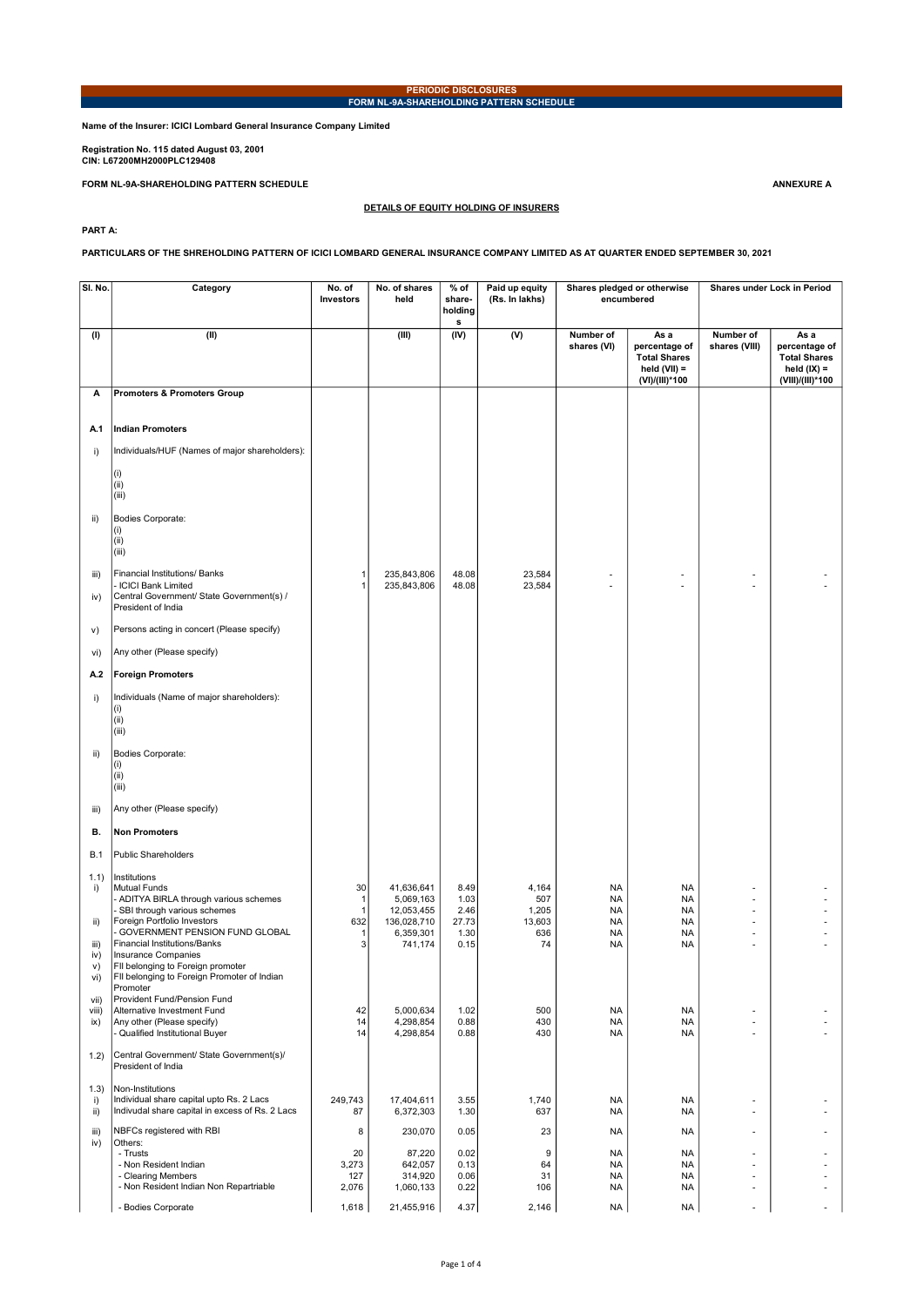## PERIODIC DISCLOSURES FORM NL-9A-SHAREHOLDING PATTERN SCHEDULE

Name of the Insurer: ICICI Lombard General Insurance Company Limited

Registration No. 115 dated August 03, 2001 CIN: L67200MH2000PLC129408

FORM NL-9A-SHAREHOLDING PATTERN SCHEDULE ANNEXURE A

DETAILS OF EQUITY HOLDING OF INSURERS

PART A:

PARTICULARS OF THE SHREHOLDING PATTERN OF ICICI LOMBARD GENERAL INSURANCE COMPANY LIMITED AS AT QUARTER ENDED SEPTEMBER 30, 2021

| SI. No.              | Category                                                                                                                    | No. of<br>Investors                | No. of shares<br>held                     | $%$ of<br>share-<br>holding<br>s | Paid up equity<br>(Rs. In lakhs) |                                                  | Shares pledged or otherwise<br>encumbered                                        |                            | Shares under Lock in Period                                                       |
|----------------------|-----------------------------------------------------------------------------------------------------------------------------|------------------------------------|-------------------------------------------|----------------------------------|----------------------------------|--------------------------------------------------|----------------------------------------------------------------------------------|----------------------------|-----------------------------------------------------------------------------------|
| (1)                  | (II)                                                                                                                        |                                    | (III)                                     | (IV)                             | $\overline{(V)}$                 | Number of<br>shares (VI)                         | As a<br>percentage of<br><b>Total Shares</b><br>held $(VII) =$<br>(VI)/(III)*100 | Number of<br>shares (VIII) | As a<br>percentage of<br><b>Total Shares</b><br>held $(IX) =$<br>(VIII)/(III)*100 |
| А                    | <b>Promoters &amp; Promoters Group</b>                                                                                      |                                    |                                           |                                  |                                  |                                                  |                                                                                  |                            |                                                                                   |
| A.1                  | Indian Promoters                                                                                                            |                                    |                                           |                                  |                                  |                                                  |                                                                                  |                            |                                                                                   |
| i)                   | Individuals/HUF (Names of major shareholders):                                                                              |                                    |                                           |                                  |                                  |                                                  |                                                                                  |                            |                                                                                   |
|                      | (i)<br>(i)<br>(iii)                                                                                                         |                                    |                                           |                                  |                                  |                                                  |                                                                                  |                            |                                                                                   |
| ii)                  | Bodies Corporate:<br>(i)<br>(iii)<br>(iii)                                                                                  |                                    |                                           |                                  |                                  |                                                  |                                                                                  |                            |                                                                                   |
| iii)<br>iv)          | Financial Institutions/ Banks<br>- ICICI Bank Limited<br>Central Government/ State Government(s) /<br>President of India    | $\mathbf{1}$<br>$\overline{1}$     | 235,843,806<br>235,843,806                | 48.08<br>48.08                   | 23,584<br>23,584                 |                                                  |                                                                                  |                            |                                                                                   |
| V)                   | Persons acting in concert (Please specify)                                                                                  |                                    |                                           |                                  |                                  |                                                  |                                                                                  |                            |                                                                                   |
| vi)                  | Any other (Please specify)                                                                                                  |                                    |                                           |                                  |                                  |                                                  |                                                                                  |                            |                                                                                   |
| A.2                  | <b>Foreign Promoters</b>                                                                                                    |                                    |                                           |                                  |                                  |                                                  |                                                                                  |                            |                                                                                   |
| i)                   | Individuals (Name of major shareholders):<br>(i)<br>(iii)<br>(iii)                                                          |                                    |                                           |                                  |                                  |                                                  |                                                                                  |                            |                                                                                   |
| ii)                  | Bodies Corporate:<br>(i)<br>(iii)<br>(iii)                                                                                  |                                    |                                           |                                  |                                  |                                                  |                                                                                  |                            |                                                                                   |
| iii)                 | Any other (Please specify)                                                                                                  |                                    |                                           |                                  |                                  |                                                  |                                                                                  |                            |                                                                                   |
| В.                   | <b>Non Promoters</b>                                                                                                        |                                    |                                           |                                  |                                  |                                                  |                                                                                  |                            |                                                                                   |
| <b>B.1</b>           | Public Shareholders                                                                                                         |                                    |                                           |                                  |                                  |                                                  |                                                                                  |                            |                                                                                   |
| 1.1)<br>i)           | Institutions<br>Mutual Funds<br>- ADITYA BIRLA through various schemes<br>SBI through various schemes                       | 30<br>$\mathbf{1}$<br>$\mathbf{1}$ | 41,636,641<br>5,069,163<br>12,053,455     | 8.49<br>1.03<br>2.46             | 4,164<br>507<br>1,205            | <b>NA</b><br><b>NA</b><br><b>NA</b>              | NA<br><b>NA</b><br><b>NA</b>                                                     | ÷                          |                                                                                   |
| ii)<br>iii)          | Foreign Portfolio Investors<br>- GOVERNMENT PENSION FUND GLOBAL<br>Financial Institutions/Banks                             | 632<br>$\mathbf{1}$<br>3           | 136,028,710<br>6,359,301<br>741,174       | 27.73<br>1.30<br>0.15            | 13,603<br>636<br>74              | <b>NA</b><br><b>NA</b><br><b>NA</b>              | <b>NA</b><br>NA<br><b>NA</b>                                                     | ٠                          |                                                                                   |
| iv)<br>v)<br>VI)     | Insurance Companies<br>FII belonging to Foreign promoter<br>Fil belonging to Foreign Promoter of Indian<br>Promoter         |                                    |                                           |                                  |                                  |                                                  |                                                                                  |                            |                                                                                   |
| vii)<br>viii)<br>ix) | Provident Fund/Pension Fund<br>Alternative Investment Fund<br>Any other (Please specify)<br>- Qualified Institutional Buyer | 42<br>14<br>14                     | 5.000.634<br>4,298,854<br>4,298,854       | 1.02<br>0.88<br>0.88             | 500<br>430<br>430                | <b>NA</b><br><b>NA</b><br><b>NA</b>              | NA<br>NA<br>NA                                                                   | ÷,<br>÷,<br>$\overline{a}$ |                                                                                   |
| 1.2)                 | Central Government/ State Government(s)/<br>President of India                                                              |                                    |                                           |                                  |                                  |                                                  |                                                                                  |                            |                                                                                   |
| (1.3)<br>i)<br>ii)   | Non-Institutions<br>Individual share capital upto Rs. 2 Lacs<br>Indivudal share capital in excess of Rs. 2 Lacs             | 249,743<br>87                      | 17,404,611<br>6,372,303                   | 3.55<br>1.30                     | 1,740<br>637                     | <b>NA</b><br><b>NA</b>                           | NA<br>NA                                                                         | ٠<br>÷,                    |                                                                                   |
| iii)                 | NBFCs registered with RBI<br>Others:                                                                                        | 8                                  | 230,070                                   | 0.05                             | 23                               | <b>NA</b>                                        | NA                                                                               | $\overline{a}$             |                                                                                   |
| iv)                  | - Trusts<br>- Non Resident Indian<br>- Clearing Members<br>- Non Resident Indian Non Repartriable                           | 20<br>3,273<br>127<br>2,076        | 87,220<br>642,057<br>314,920<br>1,060,133 | 0.02<br>0.13<br>0.06<br>0.22     | 9<br>64<br>31<br>106             | <b>NA</b><br><b>NA</b><br><b>NA</b><br><b>NA</b> | NA<br>NA<br>NA<br>NA                                                             | ٠<br>ä,                    |                                                                                   |
|                      | - Bodies Corporate                                                                                                          | 1,618                              | 21,455,916                                | 4.37                             | 2,146                            | <b>NA</b>                                        | <b>NA</b>                                                                        | $\overline{a}$             |                                                                                   |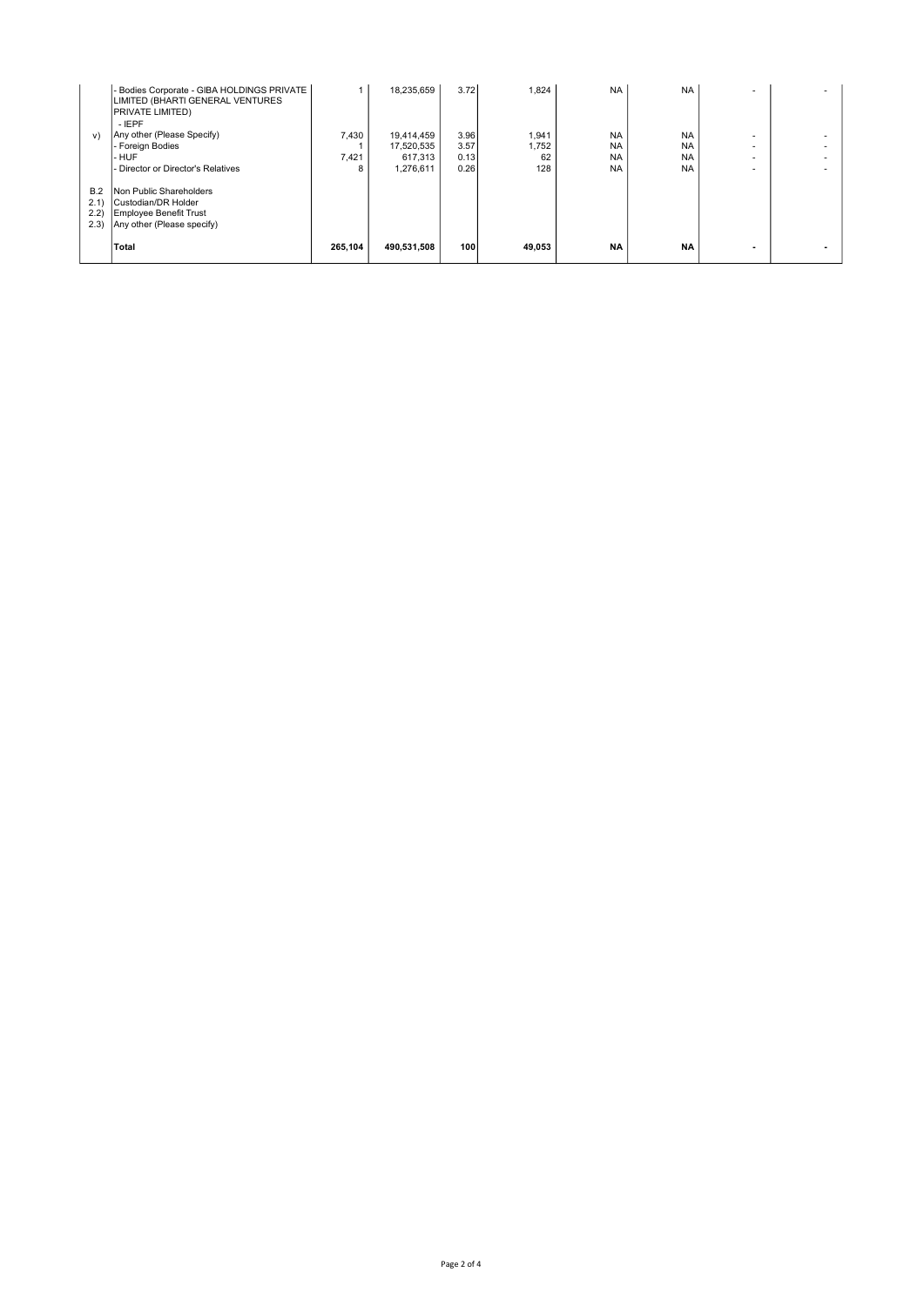|                               | - Bodies Corporate - GIBA HOLDINGS PRIVATE<br>LIMITED (BHARTI GENERAL VENTURES<br><b>PRIVATE LIMITED)</b><br>$-$ IEPF |         | 18.235.659  | 3.72 | 1,824  | <b>NA</b> | <b>NA</b> |        |  |
|-------------------------------|-----------------------------------------------------------------------------------------------------------------------|---------|-------------|------|--------|-----------|-----------|--------|--|
| V)                            | Any other (Please Specify)                                                                                            | 7,430   | 19,414,459  | 3.96 | 1,941  | <b>NA</b> | <b>NA</b> |        |  |
|                               | l- Foreian Bodies                                                                                                     |         | 17,520,535  | 3.57 | 1,752  | <b>NA</b> | <b>NA</b> |        |  |
|                               | l- HUF                                                                                                                | 7,421   | 617.313     | 0.13 | 62     | <b>NA</b> | <b>NA</b> |        |  |
|                               | - Director or Director's Relatives                                                                                    | 8       | 1.276.611   | 0.26 | 128    | <b>NA</b> | <b>NA</b> | $\sim$ |  |
| B.2<br>2.1)<br>(2.2)<br>(2.3) | Non Public Shareholders<br>Custodian/DR Holder<br>Employee Benefit Trust<br>Any other (Please specify)                |         |             |      |        |           |           |        |  |
|                               | <b>Total</b>                                                                                                          | 265.104 | 490.531.508 | 100  | 49.053 | <b>NA</b> | <b>NA</b> |        |  |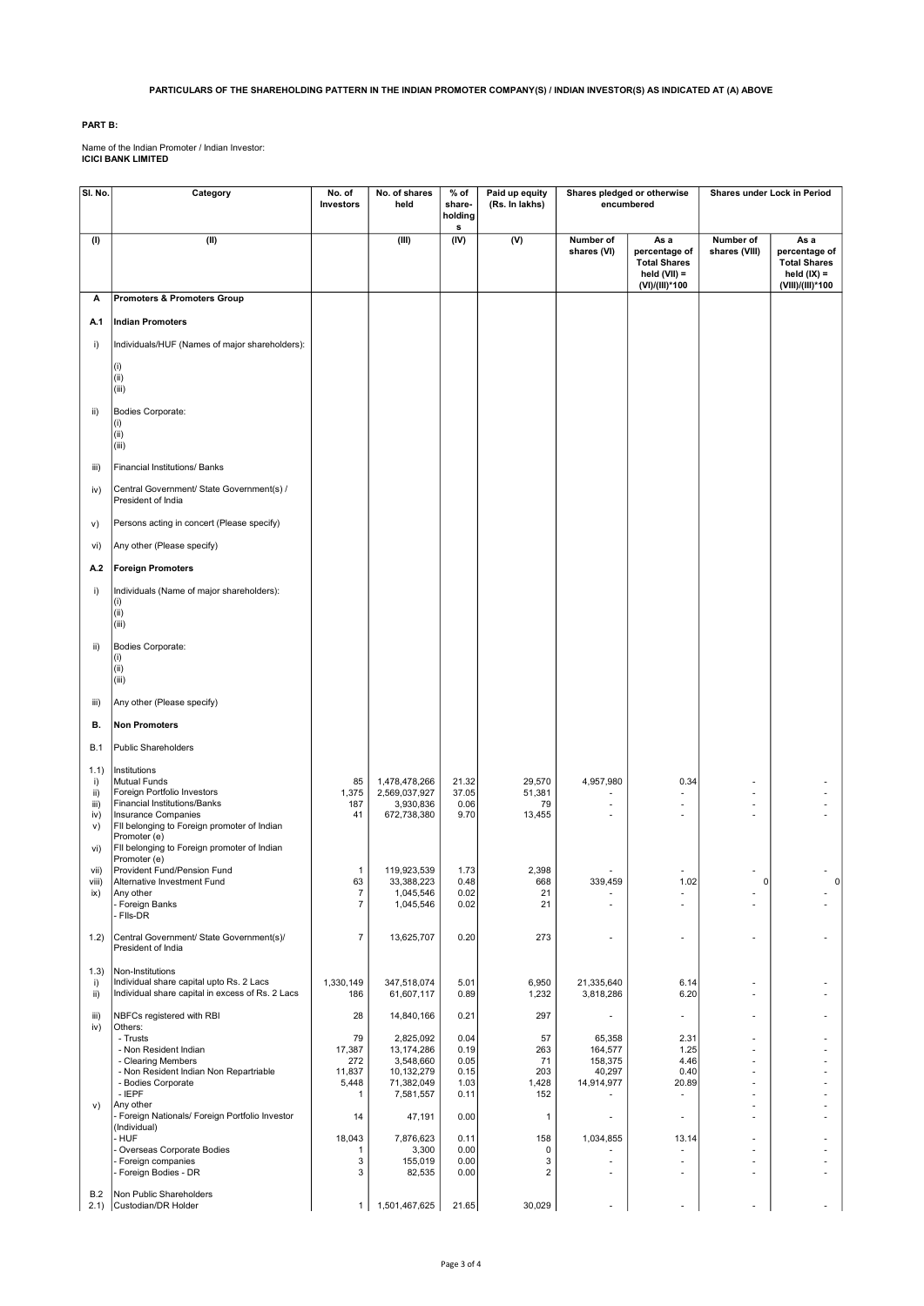## PARTICULARS OF THE SHAREHOLDING PATTERN IN THE INDIAN PROMOTER COMPANY(S) / INDIAN INVESTOR(S) AS INDICATED AT (A) ABOVE

## PART B:

Name of the Indian Promoter / Indian Investor: ICICI BANK LIMITED

| SI. No.                                        | Category                                                                                                                                                                                                                                | No. of<br>Investors                                    | No. of shares<br>held                                                         | % of<br>share-                               | Paid up equity<br>(Rs. In lakhs)       | Shares pledged or otherwise<br>encumbered            |                                                                                  | Shares under Lock in Period                          |                                                                                   |
|------------------------------------------------|-----------------------------------------------------------------------------------------------------------------------------------------------------------------------------------------------------------------------------------------|--------------------------------------------------------|-------------------------------------------------------------------------------|----------------------------------------------|----------------------------------------|------------------------------------------------------|----------------------------------------------------------------------------------|------------------------------------------------------|-----------------------------------------------------------------------------------|
|                                                |                                                                                                                                                                                                                                         |                                                        |                                                                               | holding<br>s                                 |                                        |                                                      |                                                                                  |                                                      |                                                                                   |
| (1)                                            | (II)                                                                                                                                                                                                                                    |                                                        | (III)                                                                         | (IV)                                         | (V)                                    | Number of<br>shares (VI)                             | As a<br>percentage of<br><b>Total Shares</b><br>held $(VII) =$<br>(VI)/(III)*100 | Number of<br>shares (VIII)                           | As a<br>percentage of<br><b>Total Shares</b><br>held $(IX) =$<br>(VIII)/(III)*100 |
| А                                              | <b>Promoters &amp; Promoters Group</b>                                                                                                                                                                                                  |                                                        |                                                                               |                                              |                                        |                                                      |                                                                                  |                                                      |                                                                                   |
| A.1                                            | <b>Indian Promoters</b>                                                                                                                                                                                                                 |                                                        |                                                                               |                                              |                                        |                                                      |                                                                                  |                                                      |                                                                                   |
| i)                                             | Individuals/HUF (Names of major shareholders):                                                                                                                                                                                          |                                                        |                                                                               |                                              |                                        |                                                      |                                                                                  |                                                      |                                                                                   |
|                                                | (i)<br>(ii)<br>(iii)                                                                                                                                                                                                                    |                                                        |                                                                               |                                              |                                        |                                                      |                                                                                  |                                                      |                                                                                   |
| ii)                                            | Bodies Corporate:<br>(i)<br>(ii)<br>(iii)                                                                                                                                                                                               |                                                        |                                                                               |                                              |                                        |                                                      |                                                                                  |                                                      |                                                                                   |
| iii)                                           | Financial Institutions/ Banks                                                                                                                                                                                                           |                                                        |                                                                               |                                              |                                        |                                                      |                                                                                  |                                                      |                                                                                   |
| iv)                                            | Central Government/ State Government(s) /<br>President of India                                                                                                                                                                         |                                                        |                                                                               |                                              |                                        |                                                      |                                                                                  |                                                      |                                                                                   |
| V)                                             | Persons acting in concert (Please specify)                                                                                                                                                                                              |                                                        |                                                                               |                                              |                                        |                                                      |                                                                                  |                                                      |                                                                                   |
| vi)                                            | Any other (Please specify)                                                                                                                                                                                                              |                                                        |                                                                               |                                              |                                        |                                                      |                                                                                  |                                                      |                                                                                   |
| A.2                                            | <b>Foreign Promoters</b>                                                                                                                                                                                                                |                                                        |                                                                               |                                              |                                        |                                                      |                                                                                  |                                                      |                                                                                   |
| i)                                             | Individuals (Name of major shareholders):<br>(i)<br>(ii)<br>(iii)                                                                                                                                                                       |                                                        |                                                                               |                                              |                                        |                                                      |                                                                                  |                                                      |                                                                                   |
| ii)                                            | Bodies Corporate:<br>(i)<br>(ii)<br>(iii)                                                                                                                                                                                               |                                                        |                                                                               |                                              |                                        |                                                      |                                                                                  |                                                      |                                                                                   |
| iii)                                           | Any other (Please specify)                                                                                                                                                                                                              |                                                        |                                                                               |                                              |                                        |                                                      |                                                                                  |                                                      |                                                                                   |
| В.                                             | <b>Non Promoters</b>                                                                                                                                                                                                                    |                                                        |                                                                               |                                              |                                        |                                                      |                                                                                  |                                                      |                                                                                   |
| <b>B.1</b>                                     | <b>Public Shareholders</b>                                                                                                                                                                                                              |                                                        |                                                                               |                                              |                                        |                                                      |                                                                                  |                                                      |                                                                                   |
| (1.1)<br>i)<br>ii)<br>iii)<br>iv)<br>v)<br>vi) | Institutions<br>Mutual Funds<br>Foreign Portfolio Investors<br><b>Financial Institutions/Banks</b><br>Insurance Companies<br>FII belonging to Foreign promoter of Indian<br>Promoter (e)<br>FII belonging to Foreign promoter of Indian | 85<br>1,375<br>187<br>41                               | 1,478,478,266<br>2,569,037,927<br>3,930,836<br>672,738,380                    | 21.32<br>37.05<br>0.06<br>9.70               | 29,570<br>51,381<br>79<br>13,455       | 4,957,980<br>٠                                       | 0.34                                                                             | ٠<br>٠                                               |                                                                                   |
| vii)                                           | Promoter (e)<br>Provident Fund/Pension Fund                                                                                                                                                                                             | $\mathbf{1}$                                           | 119,923,539                                                                   | 1.73                                         | 2,398                                  |                                                      |                                                                                  |                                                      |                                                                                   |
| viii)<br>ix)                                   | Alternative Investment Fund<br>Any other<br>- Foreign Banks<br>Fils-DR                                                                                                                                                                  | 63<br>$\overline{7}$<br>$\overline{7}$                 | 33,388,223<br>1,045,546<br>1,045,546                                          | 0.48<br>0.02<br>0.02                         | 668<br>21<br>21                        | 339,459                                              | 1.02<br>$\overline{\phantom{a}}$                                                 |                                                      |                                                                                   |
| 1.2)                                           | Central Government/ State Government(s)/<br>President of India                                                                                                                                                                          | $\overline{7}$                                         | 13,625,707                                                                    | 0.20                                         | 273                                    | $\overline{\phantom{a}}$                             |                                                                                  | $\overline{\phantom{a}}$                             |                                                                                   |
| (1.3)<br>i)<br>ii)                             | Non-Institutions<br>Individual share capital upto Rs. 2 Lacs<br>Individual share capital in excess of Rs. 2 Lacs                                                                                                                        | 1,330,149<br>186                                       | 347,518,074<br>61,607,117                                                     | 5.01<br>0.89                                 | 6,950<br>1,232                         | 21,335,640<br>3,818,286                              | 6.14<br>6.20                                                                     | $\overline{\phantom{a}}$<br>$\overline{\phantom{a}}$ |                                                                                   |
| iii)                                           | NBFCs registered with RBI                                                                                                                                                                                                               | 28                                                     | 14,840,166                                                                    | 0.21                                         | 297                                    |                                                      | $\blacksquare$                                                                   | ٠                                                    | ٠                                                                                 |
| iv)                                            | Others:<br>- Trusts<br>- Non Resident Indian<br>- Clearing Members<br>- Non Resident Indian Non Repartriable<br>- Bodies Corporate<br>$-$ IEPF<br>Any other                                                                             | 79<br>17,387<br>272<br>11,837<br>5,448<br>$\mathbf{1}$ | 2,825,092<br>13,174,286<br>3,548,660<br>10,132,279<br>71,382,049<br>7,581,557 | 0.04<br>0.19<br>0.05<br>0.15<br>1.03<br>0.11 | 57<br>263<br>71<br>203<br>1,428<br>152 | 65,358<br>164,577<br>158,375<br>40,297<br>14,914,977 | 2.31<br>1.25<br>4.46<br>0.40<br>20.89                                            | $\qquad \qquad \blacksquare$<br>٠<br>٠               | ٠                                                                                 |
| v)                                             | Foreign Nationals/ Foreign Portfolio Investor<br>(Individual)                                                                                                                                                                           | 14                                                     | 47,191                                                                        | 0.00                                         | $\mathbf{1}$                           | $\overline{\phantom{a}}$                             | $\blacksquare$                                                                   | ÷                                                    | ÷.                                                                                |
|                                                | - HUF<br>Overseas Corporate Bodies                                                                                                                                                                                                      | 18,043<br>1                                            | 7,876,623<br>3,300                                                            | 0.11<br>0.00                                 | 158<br>0                               | 1,034,855                                            | 13.14                                                                            | ä,                                                   | $\overline{\phantom{a}}$                                                          |
|                                                | Foreign companies<br>Foreign Bodies - DR                                                                                                                                                                                                | 3<br>3                                                 | 155,019<br>82,535                                                             | 0.00<br>0.00                                 | 3<br>$\overline{2}$                    | $\overline{\phantom{a}}$<br>ä,                       |                                                                                  | $\overline{\phantom{a}}$<br>٠                        |                                                                                   |
| B.2                                            | Non Public Shareholders<br>2.1) Custodian/DR Holder                                                                                                                                                                                     |                                                        |                                                                               | 21.65                                        | 30,029                                 | $\overline{a}$                                       |                                                                                  |                                                      |                                                                                   |